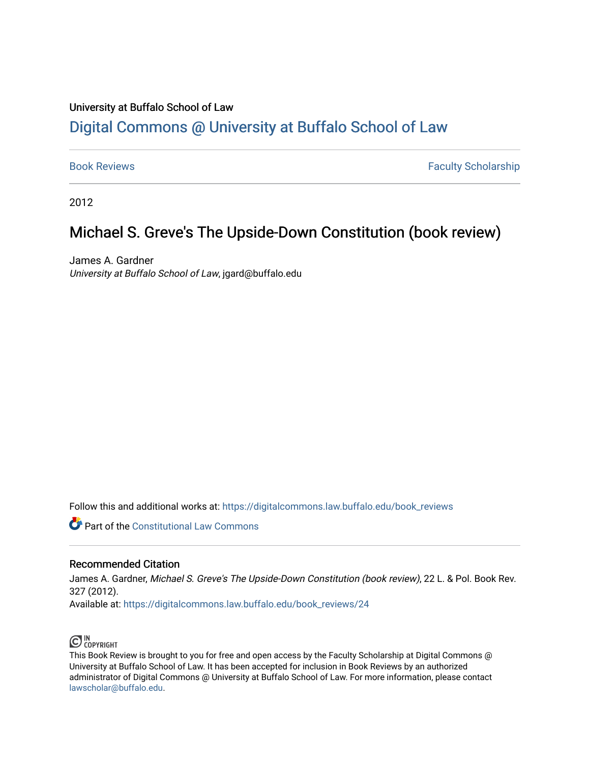## University at Buffalo School of Law [Digital Commons @ University at Buffalo School of Law](https://digitalcommons.law.buffalo.edu/)

[Book Reviews](https://digitalcommons.law.buffalo.edu/book_reviews) Faculty Scholarship

2012

# Michael S. Greve's The Upside-Down Constitution (book review)

James A. Gardner University at Buffalo School of Law, jgard@buffalo.edu

Follow this and additional works at: [https://digitalcommons.law.buffalo.edu/book\\_reviews](https://digitalcommons.law.buffalo.edu/book_reviews?utm_source=digitalcommons.law.buffalo.edu%2Fbook_reviews%2F24&utm_medium=PDF&utm_campaign=PDFCoverPages) 

**C** Part of the Constitutional Law Commons

#### Recommended Citation

James A. Gardner, Michael S. Greve's The Upside-Down Constitution (book review), 22 L. & Pol. Book Rev. 327 (2012).

Available at: [https://digitalcommons.law.buffalo.edu/book\\_reviews/24](https://digitalcommons.law.buffalo.edu/book_reviews/24?utm_source=digitalcommons.law.buffalo.edu%2Fbook_reviews%2F24&utm_medium=PDF&utm_campaign=PDFCoverPages)



This Book Review is brought to you for free and open access by the Faculty Scholarship at Digital Commons @ University at Buffalo School of Law. It has been accepted for inclusion in Book Reviews by an authorized administrator of Digital Commons @ University at Buffalo School of Law. For more information, please contact [lawscholar@buffalo.edu](mailto:lawscholar@buffalo.edu).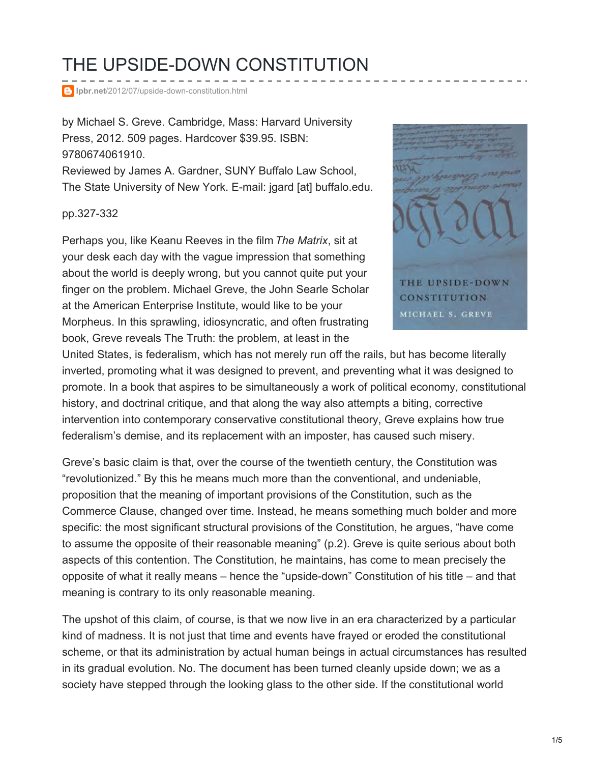# THE UPSIDE-DOWN CONSTITUTION

**lpbr.net**[/2012/07/upside-down-constitution.html](http://www.lpbr.net/2012/07/upside-down-constitution.html)

by Michael S. Greve. Cambridge, Mass: Harvard University Press, 2012. 509 pages. Hardcover \$39.95. ISBN: 9780674061910.

Reviewed by James A. Gardner, SUNY Buffalo Law School, The State University of New York. E-mail: jgard [at] buffalo.edu.

pp.327-332

Perhaps you, like Keanu Reeves in the film *The Matrix*, sit at your desk each day with the vague impression that something about the world is deeply wrong, but you cannot quite put your finger on the problem. Michael Greve, the John Searle Scholar at the American Enterprise Institute, would like to be your Morpheus. In this sprawling, idiosyncratic, and often frustrating book, Greve reveals The Truth: the problem, at least in the



United States, is federalism, which has not merely run off the rails, but has become literally inverted, promoting what it was designed to prevent, and preventing what it was designed to promote. In a book that aspires to be simultaneously a work of political economy, constitutional history, and doctrinal critique, and that along the way also attempts a biting, corrective intervention into contemporary conservative constitutional theory, Greve explains how true federalism's demise, and its replacement with an imposter, has caused such misery.

Greve's basic claim is that, over the course of the twentieth century, the Constitution was "revolutionized." By this he means much more than the conventional, and undeniable, proposition that the meaning of important provisions of the Constitution, such as the Commerce Clause, changed over time. Instead, he means something much bolder and more specific: the most significant structural provisions of the Constitution, he argues, "have come to assume the opposite of their reasonable meaning" (p.2). Greve is quite serious about both aspects of this contention. The Constitution, he maintains, has come to mean precisely the opposite of what it really means – hence the "upside-down" Constitution of his title – and that meaning is contrary to its only reasonable meaning.

The upshot of this claim, of course, is that we now live in an era characterized by a particular kind of madness. It is not just that time and events have frayed or eroded the constitutional scheme, or that its administration by actual human beings in actual circumstances has resulted in its gradual evolution. No. The document has been turned cleanly upside down; we as a society have stepped through the looking glass to the other side. If the constitutional world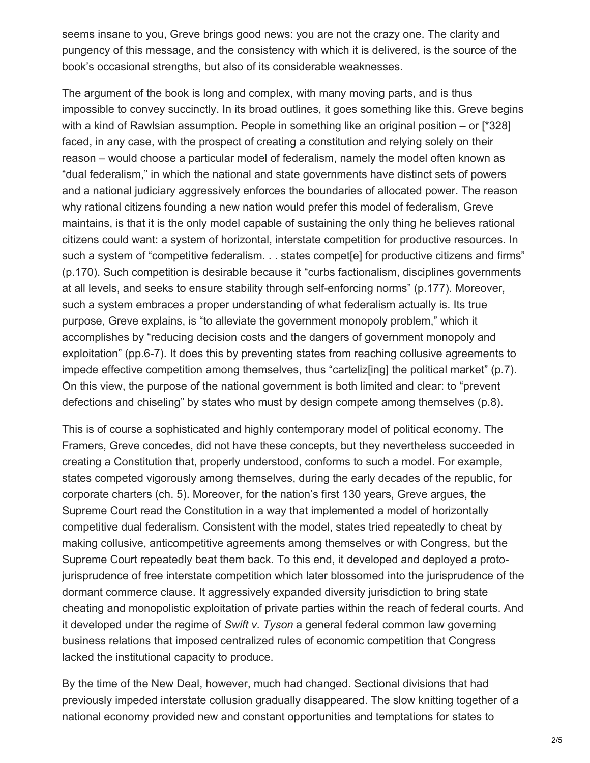seems insane to you, Greve brings good news: you are not the crazy one. The clarity and pungency of this message, and the consistency with which it is delivered, is the source of the book's occasional strengths, but also of its considerable weaknesses.

The argument of the book is long and complex, with many moving parts, and is thus impossible to convey succinctly. In its broad outlines, it goes something like this. Greve begins with a kind of Rawlsian assumption. People in something like an original position – or [\*328] faced, in any case, with the prospect of creating a constitution and relying solely on their reason – would choose a particular model of federalism, namely the model often known as "dual federalism," in which the national and state governments have distinct sets of powers and a national judiciary aggressively enforces the boundaries of allocated power. The reason why rational citizens founding a new nation would prefer this model of federalism, Greve maintains, is that it is the only model capable of sustaining the only thing he believes rational citizens could want: a system of horizontal, interstate competition for productive resources. In such a system of "competitive federalism. . . states compet[e] for productive citizens and firms" (p.170). Such competition is desirable because it "curbs factionalism, disciplines governments at all levels, and seeks to ensure stability through self-enforcing norms" (p.177). Moreover, such a system embraces a proper understanding of what federalism actually is. Its true purpose, Greve explains, is "to alleviate the government monopoly problem," which it accomplishes by "reducing decision costs and the dangers of government monopoly and exploitation" (pp.6-7). It does this by preventing states from reaching collusive agreements to impede effective competition among themselves, thus "carteliz[ing] the political market" (p.7). On this view, the purpose of the national government is both limited and clear: to "prevent defections and chiseling" by states who must by design compete among themselves (p.8).

This is of course a sophisticated and highly contemporary model of political economy. The Framers, Greve concedes, did not have these concepts, but they nevertheless succeeded in creating a Constitution that, properly understood, conforms to such a model. For example, states competed vigorously among themselves, during the early decades of the republic, for corporate charters (ch. 5). Moreover, for the nation's first 130 years, Greve argues, the Supreme Court read the Constitution in a way that implemented a model of horizontally competitive dual federalism. Consistent with the model, states tried repeatedly to cheat by making collusive, anticompetitive agreements among themselves or with Congress, but the Supreme Court repeatedly beat them back. To this end, it developed and deployed a protojurisprudence of free interstate competition which later blossomed into the jurisprudence of the dormant commerce clause. It aggressively expanded diversity jurisdiction to bring state cheating and monopolistic exploitation of private parties within the reach of federal courts. And it developed under the regime of *Swift v. Tyson* a general federal common law governing business relations that imposed centralized rules of economic competition that Congress lacked the institutional capacity to produce.

By the time of the New Deal, however, much had changed. Sectional divisions that had previously impeded interstate collusion gradually disappeared. The slow knitting together of a national economy provided new and constant opportunities and temptations for states to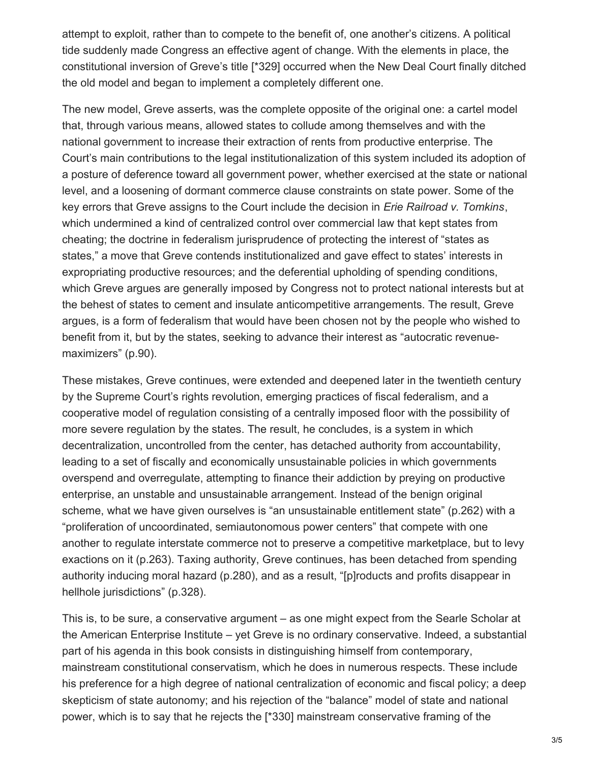attempt to exploit, rather than to compete to the benefit of, one another's citizens. A political tide suddenly made Congress an effective agent of change. With the elements in place, the constitutional inversion of Greve's title [\*329] occurred when the New Deal Court finally ditched the old model and began to implement a completely different one.

The new model, Greve asserts, was the complete opposite of the original one: a cartel model that, through various means, allowed states to collude among themselves and with the national government to increase their extraction of rents from productive enterprise. The Court's main contributions to the legal institutionalization of this system included its adoption of a posture of deference toward all government power, whether exercised at the state or national level, and a loosening of dormant commerce clause constraints on state power. Some of the key errors that Greve assigns to the Court include the decision in *Erie Railroad v. Tomkins*, which undermined a kind of centralized control over commercial law that kept states from cheating; the doctrine in federalism jurisprudence of protecting the interest of "states as states," a move that Greve contends institutionalized and gave effect to states' interests in expropriating productive resources; and the deferential upholding of spending conditions, which Greve argues are generally imposed by Congress not to protect national interests but at the behest of states to cement and insulate anticompetitive arrangements. The result, Greve argues, is a form of federalism that would have been chosen not by the people who wished to benefit from it, but by the states, seeking to advance their interest as "autocratic revenuemaximizers" (p.90).

These mistakes, Greve continues, were extended and deepened later in the twentieth century by the Supreme Court's rights revolution, emerging practices of fiscal federalism, and a cooperative model of regulation consisting of a centrally imposed floor with the possibility of more severe regulation by the states. The result, he concludes, is a system in which decentralization, uncontrolled from the center, has detached authority from accountability, leading to a set of fiscally and economically unsustainable policies in which governments overspend and overregulate, attempting to finance their addiction by preying on productive enterprise, an unstable and unsustainable arrangement. Instead of the benign original scheme, what we have given ourselves is "an unsustainable entitlement state" (p.262) with a "proliferation of uncoordinated, semiautonomous power centers" that compete with one another to regulate interstate commerce not to preserve a competitive marketplace, but to levy exactions on it (p.263). Taxing authority, Greve continues, has been detached from spending authority inducing moral hazard (p.280), and as a result, "[p]roducts and profits disappear in hellhole jurisdictions" (p.328).

This is, to be sure, a conservative argument – as one might expect from the Searle Scholar at the American Enterprise Institute – yet Greve is no ordinary conservative. Indeed, a substantial part of his agenda in this book consists in distinguishing himself from contemporary, mainstream constitutional conservatism, which he does in numerous respects. These include his preference for a high degree of national centralization of economic and fiscal policy; a deep skepticism of state autonomy; and his rejection of the "balance" model of state and national power, which is to say that he rejects the [\*330] mainstream conservative framing of the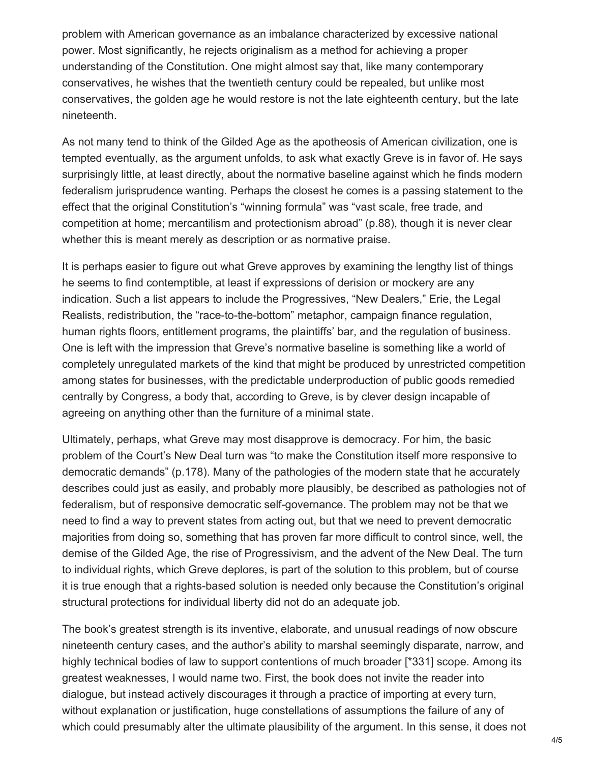problem with American governance as an imbalance characterized by excessive national power. Most significantly, he rejects originalism as a method for achieving a proper understanding of the Constitution. One might almost say that, like many contemporary conservatives, he wishes that the twentieth century could be repealed, but unlike most conservatives, the golden age he would restore is not the late eighteenth century, but the late nineteenth.

As not many tend to think of the Gilded Age as the apotheosis of American civilization, one is tempted eventually, as the argument unfolds, to ask what exactly Greve is in favor of. He says surprisingly little, at least directly, about the normative baseline against which he finds modern federalism jurisprudence wanting. Perhaps the closest he comes is a passing statement to the effect that the original Constitution's "winning formula" was "vast scale, free trade, and competition at home; mercantilism and protectionism abroad" (p.88), though it is never clear whether this is meant merely as description or as normative praise.

It is perhaps easier to figure out what Greve approves by examining the lengthy list of things he seems to find contemptible, at least if expressions of derision or mockery are any indication. Such a list appears to include the Progressives, "New Dealers," Erie, the Legal Realists, redistribution, the "race-to-the-bottom" metaphor, campaign finance regulation, human rights floors, entitlement programs, the plaintiffs' bar, and the regulation of business. One is left with the impression that Greve's normative baseline is something like a world of completely unregulated markets of the kind that might be produced by unrestricted competition among states for businesses, with the predictable underproduction of public goods remedied centrally by Congress, a body that, according to Greve, is by clever design incapable of agreeing on anything other than the furniture of a minimal state.

Ultimately, perhaps, what Greve may most disapprove is democracy. For him, the basic problem of the Court's New Deal turn was "to make the Constitution itself more responsive to democratic demands" (p.178). Many of the pathologies of the modern state that he accurately describes could just as easily, and probably more plausibly, be described as pathologies not of federalism, but of responsive democratic self-governance. The problem may not be that we need to find a way to prevent states from acting out, but that we need to prevent democratic majorities from doing so, something that has proven far more difficult to control since, well, the demise of the Gilded Age, the rise of Progressivism, and the advent of the New Deal. The turn to individual rights, which Greve deplores, is part of the solution to this problem, but of course it is true enough that a rights-based solution is needed only because the Constitution's original structural protections for individual liberty did not do an adequate job.

The book's greatest strength is its inventive, elaborate, and unusual readings of now obscure nineteenth century cases, and the author's ability to marshal seemingly disparate, narrow, and highly technical bodies of law to support contentions of much broader [\*331] scope. Among its greatest weaknesses, I would name two. First, the book does not invite the reader into dialogue, but instead actively discourages it through a practice of importing at every turn, without explanation or justification, huge constellations of assumptions the failure of any of which could presumably alter the ultimate plausibility of the argument. In this sense, it does not